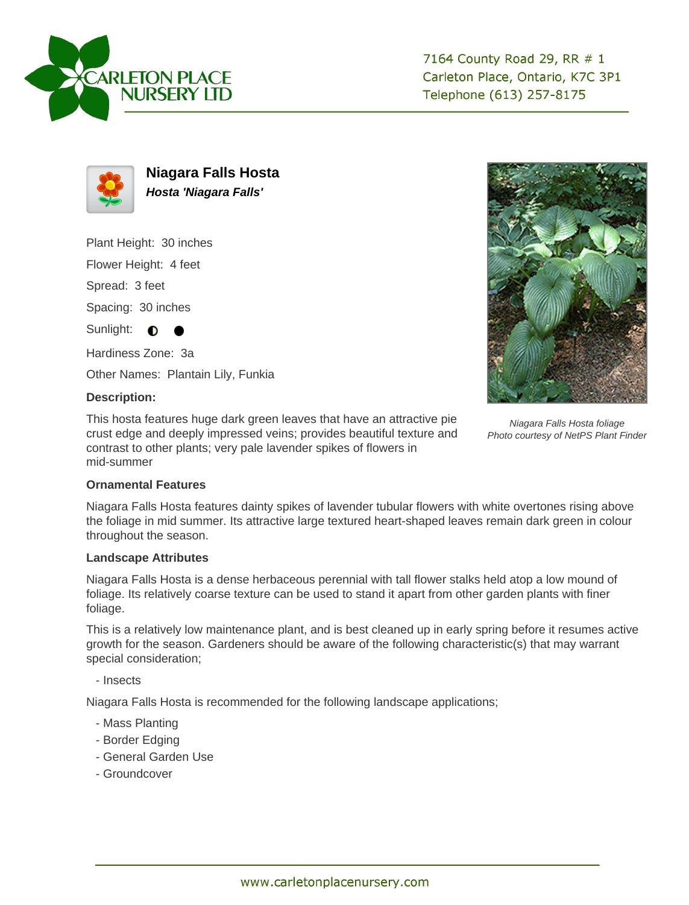



**Niagara Falls Hosta Hosta 'Niagara Falls'**

Plant Height: 30 inches

Flower Height: 4 feet

Spread: 3 feet

Spacing: 30 inches

Sunlight:  $\bullet$ 

Hardiness Zone: 3a

Other Names: Plantain Lily, Funkia

## **Description:**

This hosta features huge dark green leaves that have an attractive pie crust edge and deeply impressed veins; provides beautiful texture and contrast to other plants; very pale lavender spikes of flowers in mid-summer



Niagara Falls Hosta foliage Photo courtesy of NetPS Plant Finder

## **Ornamental Features**

Niagara Falls Hosta features dainty spikes of lavender tubular flowers with white overtones rising above the foliage in mid summer. Its attractive large textured heart-shaped leaves remain dark green in colour throughout the season.

## **Landscape Attributes**

Niagara Falls Hosta is a dense herbaceous perennial with tall flower stalks held atop a low mound of foliage. Its relatively coarse texture can be used to stand it apart from other garden plants with finer foliage.

This is a relatively low maintenance plant, and is best cleaned up in early spring before it resumes active growth for the season. Gardeners should be aware of the following characteristic(s) that may warrant special consideration;

- Insects

Niagara Falls Hosta is recommended for the following landscape applications;

- Mass Planting
- Border Edging
- General Garden Use
- Groundcover